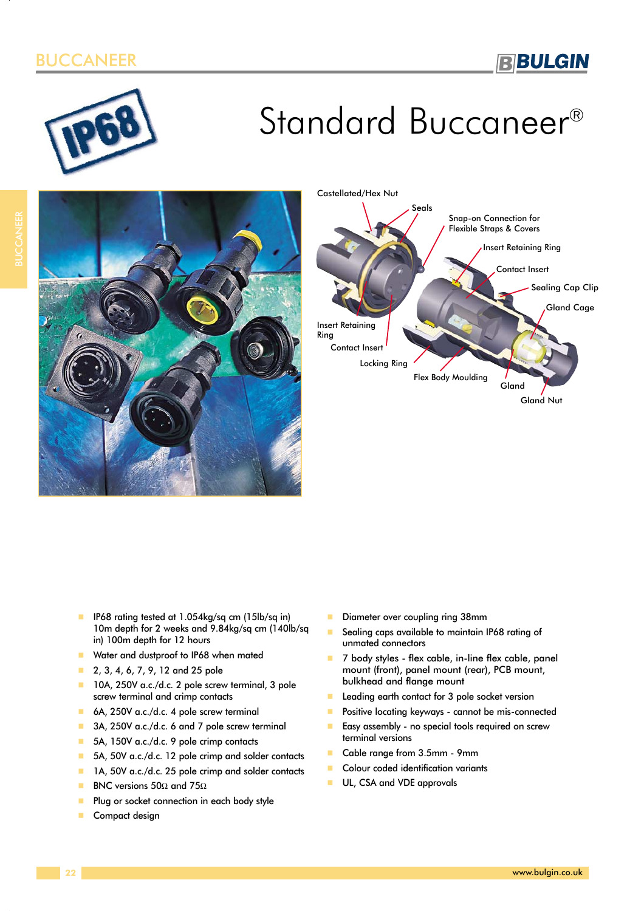# ANEER



# Standard Buccaneer®





- - IP68 rating tested at 1.054kg/sq cm (15lb/sq in) 10m depth for 2 weeks and 9.84kg/sq cm (140lb/sq in) 100m depth for 12 hours
- -Water and dustproof to IP68 when mated
- -2, 3, 4, 6, 7, 9, 12 and 25 pole
- 10A, 250V a.c./d.c. 2 pole screw terminal, 3 pole screw terminal and crimp contacts
- -6A, 250V a.c./d.c. 4 pole screw terminal
- -3A, 250V a.c./d.c. 6 and 7 pole screw terminal
- -5A, 150V a.c./d.c. 9 pole crimp contacts
- -5A, 50V a.c./d.c. 12 pole crimp and solder contacts
- -1A, 50V a.c./d.c. 25 pole crimp and solder contacts
- -BNC versions 50Ω and 75Ω
- -Plug or socket connection in each body style
- -Compact design
- -Diameter over coupling ring 38mm
- - Sealing caps available to maintain IP68 rating of unmated connectors
- - 7 body styles - flex cable, in-line flex cable, panel mount (front), panel mount (rear), PCB mount, bulkhead and flange mount
- -Leading earth contact for 3 pole socket version
- -Positive locating keyways - cannot be mis-connected
- - Easy assembly - no special tools required on screw terminal versions
- -Cable range from 3.5mm - 9mm
- -Colour coded identification variants
- -UL, CSA and VDE approvals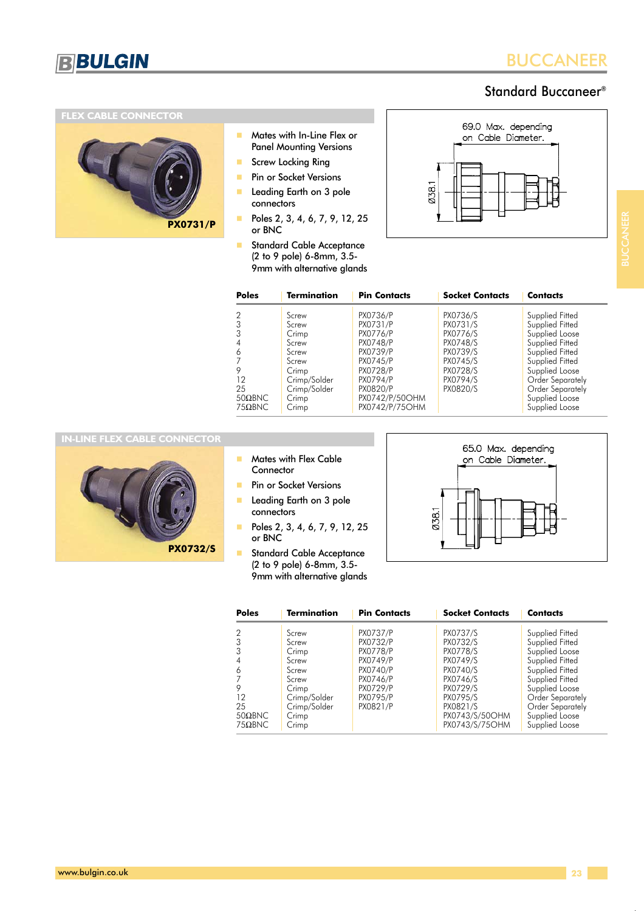

# Standard Buccaneer®

### **FLEX CABLE CONNECTOR**



- - Mates with In-Line Flex or Panel Mounting Versions
- -Screw Locking Ring
- -Pin or Socket Versions
- - Leading Earth on 3 pole connectors
- - Poles 2, 3, 4, 6, 7, 9, 12, 25 or BNC
- - Standard Cable Acceptance (2 to 9 pole) 6-8mm, 3.5- 9mm with alternative glands



BUCCANEER

| <b>Poles</b>                                      | <b>Termination</b>                                                                                            | <b>Pin Contacts</b>                                                                                                                                 | <b>Socket Contacts</b>                                                                                   | Contacts                                                                                                                                                                                                    |
|---------------------------------------------------|---------------------------------------------------------------------------------------------------------------|-----------------------------------------------------------------------------------------------------------------------------------------------------|----------------------------------------------------------------------------------------------------------|-------------------------------------------------------------------------------------------------------------------------------------------------------------------------------------------------------------|
| 6<br>12<br>25<br>$50\Omega$ BNC<br>$75\Omega$ BNC | Screw<br>Screw<br>Crimp<br>Screw<br>Screw<br>Screw<br>Crimp<br>Crimp/Solder<br>Crimp/Solder<br>Crimp<br>Crimp | PX0736/P<br>PX0731/P<br><b>PX0776/P</b><br>PX0748/P<br>PX0739/P<br>PX0745/P<br>PX0728/P<br>PX0794/P<br>PX0820/P<br>PX0742/P/50OHM<br>PX0742/P/75OHM | PX0736/S<br>PX0731/S<br>PX0776/S<br>PX0748/S<br>PX0739/S<br>PX0745/S<br>PX0728/S<br>PX0794/S<br>PX0820/S | Supplied Fitted<br>Supplied Fitted<br>Supplied Loose<br>Supplied Fitted<br>Supplied Fitted<br>Supplied Fitted<br>Supplied Loose<br>Order Separately<br>Order Separately<br>Supplied Loose<br>Supplied Loose |

### **IN-LINE FLEX CABLE CONNECTOR**



- - Mates with Flex Cable **Connector**
- -Pin or Socket Versions
- - Leading Earth on 3 pole connectors
- - Poles 2, 3, 4, 6, 7, 9, 12, 25 or BNC
- - Standard Cable Acceptance (2 to 9 pole) 6-8mm, 3.5- 9mm with alternative glands



| <b>Poles</b>   | <b>Termination</b> | <b>Pin Contacts</b> | <b>Socket Contacts</b> | Contacts         |
|----------------|--------------------|---------------------|------------------------|------------------|
|                | Screw              | <b>PX0737/P</b>     | PX0737/S               | Supplied Fitted  |
|                | Screw              | PX0732/P            | PX0732/S               | Supplied Fitted  |
|                | Crimp              | <b>PX0778/P</b>     | PX0778/S               | Supplied Loose   |
|                | Screw              | PX0749/P            | PX0749/S               | Supplied Fitted  |
| 6              | Screw              | PX0740/P            | PX0740/S               | Supplied Fitted  |
|                | Screw              | PX0746/P            | PX0746/S               | Supplied Fitted  |
| 9              | Crimp              | PX0729/P            | PX0729/S               | Supplied Loose   |
| 12             | Crimp/Solder       | PX0795/P            | PX0795/S               | Order Separately |
| 25             | Crimp/Solder       | PX0821/P            | PX0821/S               | Order Separately |
| $50\Omega$ BNC | Crimp              |                     | PX0743/S/50OHM         | Supplied Loose   |
| $75\Omega$ BNC | Crimp              |                     | PX0743/S/75OHM         | Supplied Loose   |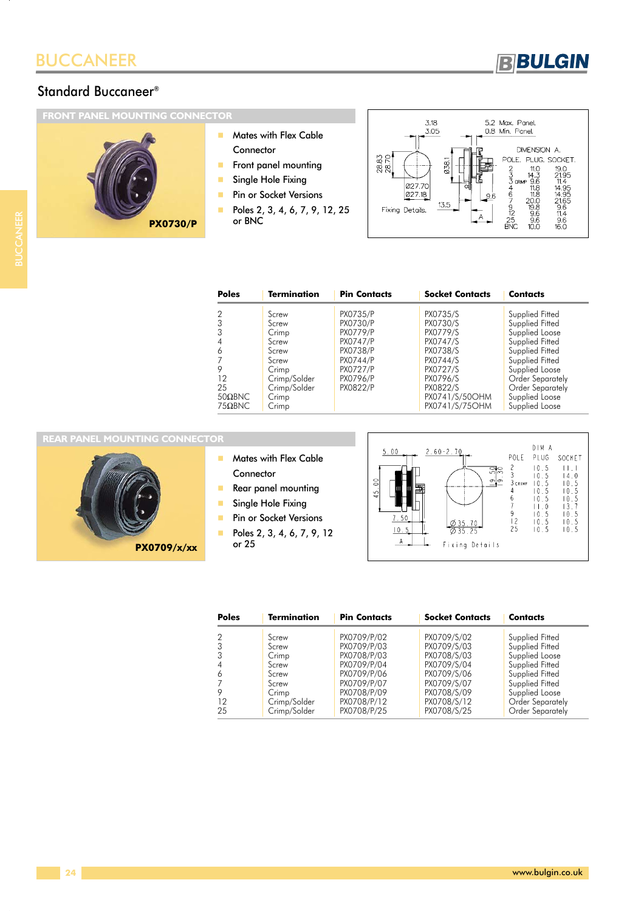

# Standard Buccaneer®

# **FRONT PANEL MOUNTING CONNECTOR**



- - Mates with Flex Cable **Connector**
- -Front panel mounting
- -Single Hole Fixing
- -Pin or Socket Versions
- - Poles 2, 3, 4, 6, 7, 9, 12, 25 or BNC



| <b>Poles</b>   | <b>Termination</b> | <b>Pin Contacts</b> | <b>Socket Contacts</b> | <b>Contacts</b>  |
|----------------|--------------------|---------------------|------------------------|------------------|
| $\overline{2}$ | Screw              | PX0735/P            | PX0735/S               | Supplied Fitted  |
| 3              | Screw              | <b>PX0730/P</b>     | PX0730/S               | Supplied Fitted  |
|                | Crimp              | <b>PX0779/P</b>     | PX0779/S               | Supplied Loose   |
|                | Screw              | <b>PX0747/P</b>     | PX0747/S               | Supplied Fitted  |
| 6              | Screw              | PX0738/P            | PX0738/S               | Supplied Fitted  |
|                | Screw              | PX0744/P            | PX0744/S               | Supplied Fitted  |
| 9              | Crimp              | PX0727/P            | PX0727/S               | Supplied Loose   |
| 12             | Crimp/Solder       | PX0796/P            | PX0796/S               | Order Separately |
| 25             | Crimp/Solder       | PX0822/P            | PX0822/S               | Order Separately |
| $50\Omega$ BNC | Crimp              |                     | PX0741/S/50OHM         | Supplied Loose   |
| $75\Omega$ BNC | Crimp              |                     | PX0741/S/75OHM         | Supplied Loose   |

### **REAR PANEL MOUNTING CONNECTOR**

**PX0709/x/xx**

- - Mates with Flex Cable **Connector**
- 
- -Rear panel mounting
- -Single Hole Fixing
- -Pin or Socket Versions
- - Poles 2, 3, 4, 6, 7, 9, 12 or 25



| <b>Poles</b> | <b>Termination</b> | <b>Pin Contacts</b> | <b>Socket Contacts</b> | <b>Contacts</b>  |
|--------------|--------------------|---------------------|------------------------|------------------|
|              | Screw              | PX0709/P/02         | PX0709/S/02            | Supplied Fitted  |
|              | Screw              | PX0709/P/03         | PX0709/S/03            | Supplied Fitted  |
|              | Crimp              | PX0708/P/03         | PX0708/S/03            | Supplied Loose   |
|              | Screw              | PX0709/P/04         | PX0709/S/04            | Supplied Fitted  |
| 6            | Screw              | PX0709/P/06         | PX0709/S/06            | Supplied Fitted  |
|              | Screw              | PX0709/P/07         | PX0709/S/07            | Supplied Fitted  |
|              | Crimp              | PX0708/P/09         | PX0708/S/09            | Supplied Loose   |
| 12           | Crimp/Solder       | PX0708/P/12         | PX0708/S/12            | Order Separately |
| 25           | Crimp/Solder       | PX0708/P/25         | PX0708/S/25            | Order Separately |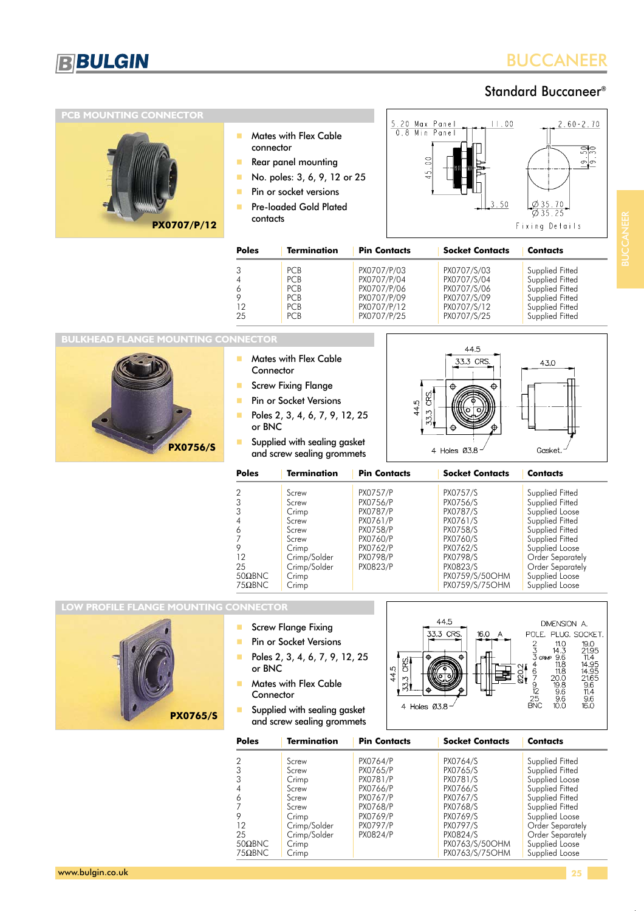

 $2.60 - 2.70$ 

 $\frac{5}{25}$ ာ $\sigma$ 

# Standard Buccaneer®

### **PCB MOUNTING CONNECTOR** 5.20 Max Panel<br>0.8 Min Panel  $11.00$  Mates with Flex Cable connector Rear panel mounting - No. poles: 3, 6, 9, 12 or 25 - Pin or socket versions - $3.50$  Pre-loaded Gold Plated contacts **PX0707/P/12** Fixing Details

| <b>Poles</b>                              | <b>Termination</b>                                                               | <b>Pin Contacts</b>                                                                    | <b>Socket Contacts</b>                                                                 | <b>Contacts</b>                                                                                                |
|-------------------------------------------|----------------------------------------------------------------------------------|----------------------------------------------------------------------------------------|----------------------------------------------------------------------------------------|----------------------------------------------------------------------------------------------------------------|
| 3<br>$\overline{4}$<br>6<br>9<br>12<br>25 | <b>PCB</b><br><b>PCB</b><br><b>PCB</b><br><b>PCB</b><br><b>PCB</b><br><b>PCB</b> | PX0707/P/03<br>PX0707/P/04<br>PX0707/P/06<br>PX0707/P/09<br>PX0707/P/12<br>PX0707/P/25 | PX0707/S/03<br>PX0707/S/04<br>PX0707/S/06<br>PX0707/S/09<br>PX0707/S/12<br>PX0707/S/25 | Supplied Fitted<br>Supplied Fitted<br>Supplied Fitted<br>Supplied Fitted<br>Supplied Fitted<br>Supplied Fitted |

### **BULKHEAD FLANGE MOUNTING CONNECTOR**



- - Mates with Flex Cable **Connector**
- -Screw Fixing Flange
- -Pin or Socket Versions
- - Poles 2, 3, 4, 6, 7, 9, 12, 25 or BNC
- - Supplied with sealing gasket and screw sealing grommets



| <b>Poles</b>                     | <b>Termination</b>                                                                          | <b>Pin Contacts</b>                                                                                                    | <b>Socket Contacts</b>                                                                                   | <b>Contacts</b>                                                                                                                                                         |
|----------------------------------|---------------------------------------------------------------------------------------------|------------------------------------------------------------------------------------------------------------------------|----------------------------------------------------------------------------------------------------------|-------------------------------------------------------------------------------------------------------------------------------------------------------------------------|
| 3<br>6<br>9<br>12<br>25          | Screw<br>Screw<br>Crimp<br>Screw<br>Screw<br>Screw<br>Crimp<br>Crimp/Solder<br>Crimp/Solder | <b>PX0757/P</b><br>PX0756/P<br>PX0787/P<br>PX0761/P<br><b>PX0758/P</b><br>PX0760/P<br>PX0762/P<br>PX0798/P<br>PX0823/P | PX0757/S<br>PX0756/S<br>PX0787/S<br>PX0761/S<br>PX0758/S<br>PX0760/S<br>PX0762/S<br>PX0798/S<br>PX0823/S | Supplied Fitted<br>Supplied Fitted<br>Supplied Loose<br>Supplied Fitted<br>Supplied Fitted<br>Supplied Fitted<br>Supplied Loose<br>Order Separately<br>Order Separately |
| $50\Omega$ BNC<br>$75\Omega$ BNC | Crimp<br>Crimp                                                                              |                                                                                                                        | PX0759/S/50OHM<br>PX0759/S/75OHM                                                                         | Supplied Loose<br>Supplied Loose                                                                                                                                        |

### **LOW PROFILE FLANGE MOUNTING CONNECTOR**



- -Screw Flange Fixing
- -Pin or Socket Versions
- - Poles 2, 3, 4, 6, 7, 9, 12, 25 or BNC
- - Mates with Flex Cable **Connector**
- - Supplied with sealing gasket and screw sealing grommets



| <b>Poles</b>   | <b>Termination</b> | <b>Pin Contacts</b> | <b>Socket Contacts</b> | <b>Contacts</b>  |
|----------------|--------------------|---------------------|------------------------|------------------|
|                | Screw              | PX0764/P            | PX0764/S               | Supplied Fitted  |
|                | Screw              | PX0765/P            | PX0765/S               | Supplied Fitted  |
|                | Crimp              | PX0781/P            | PX0781/S               | Supplied Loose   |
|                | Screw              | PX0766/P            | PX0766/S               | Supplied Fitted  |
| 6              | Screw              | PX0767/P            | PX0767/S               | Supplied Fitted  |
|                | Screw              | PX0768/P            | PX0768/S               | Supplied Fitted  |
|                | Crimp              | PX0769/P            | PX0769/S               | Supplied Loose   |
| 12             | Crimp/Solder       | <b>PX0797/P</b>     | PX0797/S               | Order Separately |
| 25             | Crimp/Solder       | PX0824/P            | PX0824/S               | Order Separately |
| $50\Omega$ BNC | Crimp              |                     | PX0763/S/50OHM         | Supplied Loose   |
| $75\Omega$ BNC | Crimp              |                     | PX0763/S/75OHM         | Supplied Loose   |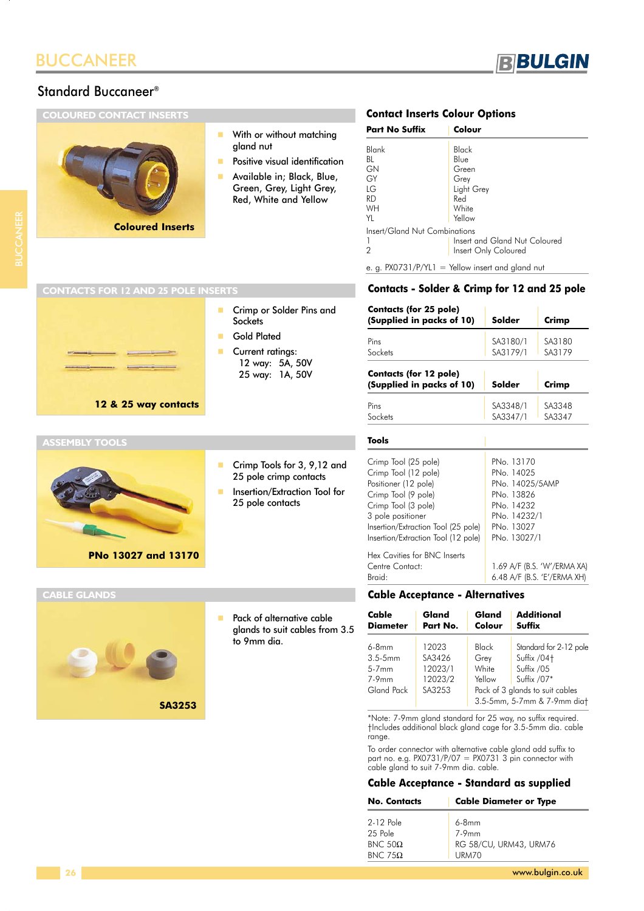## Standard Buccaneer®

**COLOURED CONTACT INSERTS**

# -With or without matching gland nut

- -Positive visual identification
- - Available in; Black, Blue, Green, Grey, Light Grey, Red, White and Yellow

# **Contact Inserts Colour Options**

| <b>Part No Suffix</b>                            | Colour                                                       |
|--------------------------------------------------|--------------------------------------------------------------|
| Blank<br>BL<br>GN<br>GY<br>IG<br>RD<br><b>WH</b> | Black<br>Blue<br>Green<br>Grey<br>Light Grey<br>Red<br>White |
| YI                                               | Yellow                                                       |
| Insert/Gland Nut Combinations<br>1<br>2          | Insert and Gland Nut Coloured<br>Insert Only Coloured        |

RBULGIN

e. g. PX0731/P/YL1 = Yellow insert and gland nut

### **Contacts - Solder & Crimp for 12 and 25 pole**

| <b>Contacts (for 25 pole)</b><br>(Supplied in packs of 10)                                                                                                                                                            | Solder                                                                                                                | Crimp                                                      |
|-----------------------------------------------------------------------------------------------------------------------------------------------------------------------------------------------------------------------|-----------------------------------------------------------------------------------------------------------------------|------------------------------------------------------------|
| Pins<br>Sockets                                                                                                                                                                                                       | SA3180/1<br>SA3179/1                                                                                                  | SA3180<br>SA3179                                           |
| <b>Contacts (for 12 pole)</b><br>(Supplied in packs of 10)                                                                                                                                                            | Solder                                                                                                                | Crimp                                                      |
| Pins<br>Sockets                                                                                                                                                                                                       | SA3348/1<br>SA3347/1                                                                                                  | SA3348<br>SA3347                                           |
| Tools                                                                                                                                                                                                                 |                                                                                                                       |                                                            |
| Crimp Tool (25 pole)<br>Crimp Tool (12 pole)<br>Positioner (12 pole)<br>Crimp Tool (9 pole)<br>Crimp Tool (3 pole)<br>3 pole positioner<br>Insertion/Extraction Tool (25 pole)<br>Insertion/Extraction Tool (12 pole) | PNo. 13170<br>PNo. 14025<br>PNo. 14025/5AMP<br>PNo. 13826<br>PNo. 14232<br>PNo. 14232/1<br>PNo. 13027<br>PNo. 13027/1 |                                                            |
| Hex Cavities for BNC Inserts<br>Centre Contact:<br>Braid:                                                                                                                                                             |                                                                                                                       | 1.69 A/F (B.S. 'W'/ERMA XA)<br>6.48 A/F (B.S. 'E'/ERMA XH) |

### **Cable Acceptance - Alternatives**

| Cable<br><b>Diameter</b>                                      | Gland<br>Part No.                               | Gland<br>Colour                  | <b>Additional</b><br><b>Suffix</b>                                                                     |
|---------------------------------------------------------------|-------------------------------------------------|----------------------------------|--------------------------------------------------------------------------------------------------------|
| $6-8mm$<br>$3.5 - 5$ mm<br>$5-7$ mm<br>$7-9$ mm<br>Gland Pack | 12023<br>SA3426<br>12023/1<br>12023/2<br>SA3253 | Black<br>Grey<br>White<br>Yellow | Standard for 2-12 pole<br>Suffix / 04+<br>Suffix /05<br>Suffix /07*<br>Pack of 3 glands to suit cables |
|                                                               |                                                 |                                  | 3.5-5mm, 5-7mm & 7-9mm diat                                                                            |

\*Note: 7-9mm gland standard for 25 way, no suffix required. †Includes additional black gland cage for 3.5-5mm dia. cable range.

To order connector with alternative cable gland add suffix to part no. e.g. PX0731/P/07 = PX0731 3 pin connector with cable gland to suit 7-9mm dia. cable.

### **Cable Acceptance - Standard as supplied**

| <b>No. Contacts</b> | <b>Cable Diameter or Type</b> |
|---------------------|-------------------------------|
| 2-12 Pole           | $6-8mm$                       |
| 25 Pole             | $7-9$ mm                      |
| BNC 50 $\Omega$     | RG 58/CU, URM43, URM76        |
| BNC 75 $\Omega$     | URM70                         |

### - Crimp or Solder Pins and **Sockets** - Gold Plated **CONTACTS FOR 12 AND 25 POLE INSERTS**

**Coloured Inserts**

**12 & 25 way contacts**

### **ASSEMBLY TOOL**

# **PNo 13027 and 13170**

### **CABLE GLANDS**



- Pack of alternative cable glands to suit cables from 3.5 to 9mm dia.

 Crimp Tools for 3, 9,12 and 25 pole crimp contacts

Insertion/Extraction Tool for

25 pole contacts

**Current ratings:** 12 way: 5A, 50V 25 way: 1A, 50V

-

-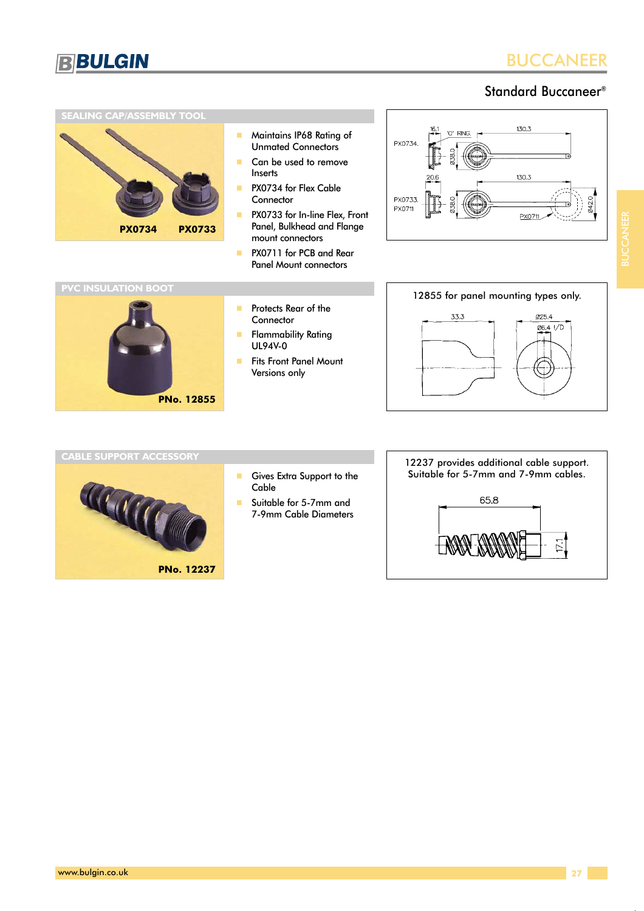

# Standard Buccaneer®

### **SEALING CAP/ASSEMBLY TOOL**



- - Maintains IP68 Rating of Unmated Connectors
- - Can be used to remove Inserts
- - PX0734 for Flex Cable **Connector**
- - PX0733 for In-line Flex, Front Panel, Bulkhead and Flange mount connectors
- - PX0711 for PCB and Rear Panel Mount connectors





- - Protects Rear of the Connector
- - Flammability Rating UL94V-0
- - Fits Front Panel Mount Versions only





- - Gives Extra Support to the Cable
- - Suitable for 5-7mm and 7-9mm Cable Diameters

# 12237 provides additional cable support. Suitable for 5-7mm and 7-9mm cables.

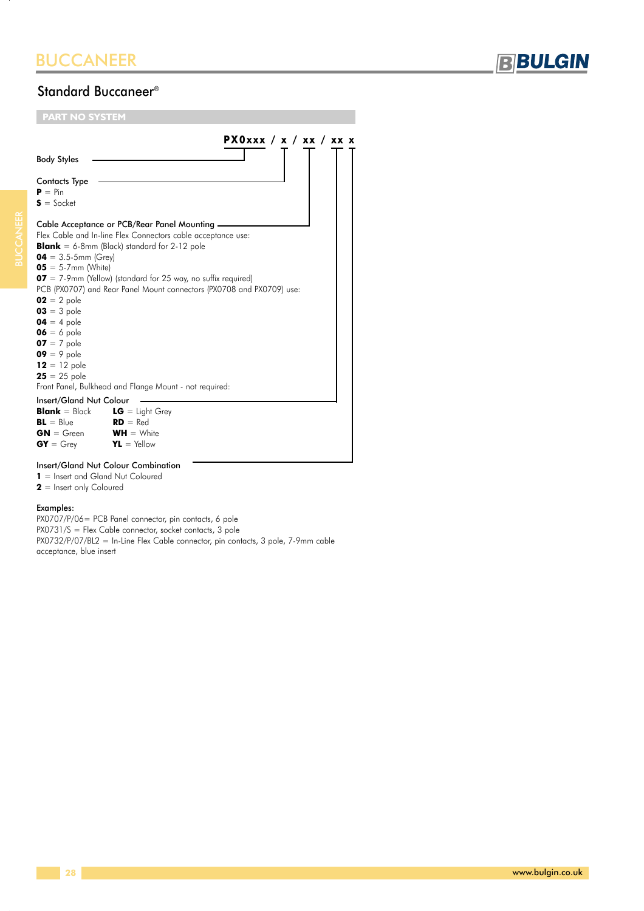

# Standard Buccaneer®

| PX0xxx / x / xx / xx<br><b>Body Styles</b>                                                                                                                                                                                                                                                                                                                                                                                                                                                                                                                                                                                                                                                                                                                    |  |
|---------------------------------------------------------------------------------------------------------------------------------------------------------------------------------------------------------------------------------------------------------------------------------------------------------------------------------------------------------------------------------------------------------------------------------------------------------------------------------------------------------------------------------------------------------------------------------------------------------------------------------------------------------------------------------------------------------------------------------------------------------------|--|
|                                                                                                                                                                                                                                                                                                                                                                                                                                                                                                                                                                                                                                                                                                                                                               |  |
| <b>Contacts Type</b><br>$P = Pin$<br>$S = S$ ocket                                                                                                                                                                                                                                                                                                                                                                                                                                                                                                                                                                                                                                                                                                            |  |
| Cable Acceptance or PCB/Rear Panel Mounting -<br>Flex Cable and In-line Flex Connectors cable acceptance use:<br><b>Blank</b> = 6-8mm (Black) standard for 2-12 pole<br>$04 = 3.5 - 5$ mm (Grey)<br>$05 = 5.7$ mm (White)<br>$\textbf{07} = 7$ -9mm (Yellow) (standard for 25 way, no suffix required)<br>PCB (PX0707) and Rear Panel Mount connectors (PX0708 and PX0709) use:<br>$02 = 2$ pole<br>$03 = 3$ pole<br>$04 = 4$ pole<br>$06 = 6$ pole<br>$07 = 7$ pole<br>$09 = 9$ pole<br>$12 = 12$ pole<br>$25 = 25$ pole<br>Front Panel, Bulkhead and Flange Mount - not required:<br><b>Insert/Gland Nut Colour</b><br><b>Blank</b> = Black $LG$ = Light Grey<br>$BL = Blue$<br>$RD = Red$<br>$WH = White$<br>$GN = Green$<br>$GY = Grev$<br>$YL = Y$ ellow |  |

### Insert/Gland Nut Colour Combination

**1** = Insert and Gland Nut Coloured

**2** = Insert only Coloured

### Examples:

PX0707/P/06= PCB Panel connector, pin contacts, 6 pole PX0731/S = Flex Cable connector, socket contacts, 3 pole PX0732/P/07/BL2 = In-Line Flex Cable connector, pin contacts, 3 pole, 7-9mm cable acceptance, blue insert

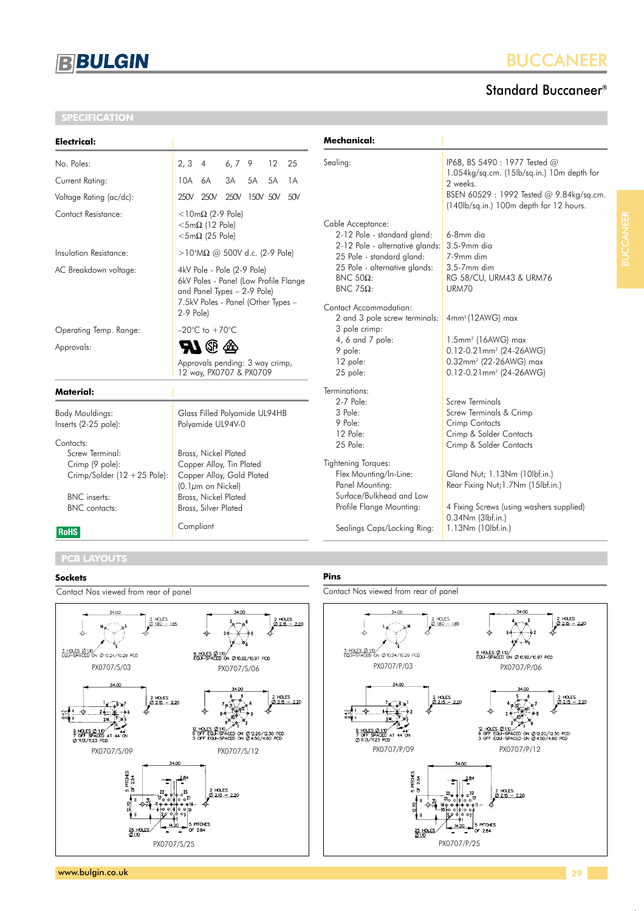

### **SPECIFICATION**

# BUCCANEER

# Standard Buccaneer®

| <b>Electrical:</b>                                                                               |                                                                                                                                          | Mechanical:                                                                                                              |                                                                                                                                                           |
|--------------------------------------------------------------------------------------------------|------------------------------------------------------------------------------------------------------------------------------------------|--------------------------------------------------------------------------------------------------------------------------|-----------------------------------------------------------------------------------------------------------------------------------------------------------|
| No. Poles:                                                                                       | $2, 3$ 4<br>12<br>6, 7, 9<br>25                                                                                                          | Sealing:                                                                                                                 | IP68, BS 5490 : 1977 Tested @                                                                                                                             |
| Current Rating:                                                                                  | 3A<br>5A<br>5A<br>10A 6A<br>1A                                                                                                           |                                                                                                                          | 1.054kg/sq.cm. (15lb/sq.in.) 10m depth for<br>2 weeks.                                                                                                    |
| Voltage Rating (ac/dc):                                                                          | 250V 250V<br>250V 150V 50V<br>50V                                                                                                        |                                                                                                                          | BSEN 60529: 1992 Tested @ 9.84kg/sq.cm.<br>(140lb/sq.in.) 100m depth for 12 hours.                                                                        |
| Contact Resistance:                                                                              | $<$ 10m $\Omega$ (2-9 Pole)<br>$<$ 5m $\Omega$ (12 Pole)<br>$<$ 5m $\Omega$ (25 Pole)                                                    | Cable Acceptance:<br>2-12 Pole - standard gland:                                                                         | 6-8mm dia                                                                                                                                                 |
| Insulation Resistance:                                                                           | >10 <sup>4</sup> MΩ @ 500V d.c. (2-9 Pole)                                                                                               | 2-12 Pole - alternative glands:<br>25 Pole - standard gland:                                                             | 3.5-9mm dia<br>7-9mm dim                                                                                                                                  |
| AC Breakdown voltage:                                                                            | 4kV Pole - Pole (2-9 Pole)<br>6kV Poles - Panel (Low Profile Flange<br>and Panel Types - 2-9 Pole)<br>7.5kV Poles - Panel (Other Types - | 25 Pole - alternative glands:<br>$BNC$ 50Ω:<br>BNC 75Ω:                                                                  | 3.5-7mm dim<br>RG 58/CU, URM43 & URM76<br>URM70                                                                                                           |
|                                                                                                  | $2-9$ Pole)                                                                                                                              | Contact Accommodation:<br>2 and 3 pole screw terminals:                                                                  | 4mm <sup>2</sup> (12AWG) max                                                                                                                              |
| Operating Temp. Range:                                                                           | $-20^{\circ}$ C to $+70^{\circ}$ C                                                                                                       | 3 pole crimp:                                                                                                            |                                                                                                                                                           |
| Approvals:                                                                                       | <b>AT @</b><br><br>Approvals pending: 3 way crimp,<br>12 way, PX0707 & PX0709                                                            | 4, 6 and 7 pole:<br>9 pole:<br>12 pole:<br>25 pole:                                                                      | $1.5$ mm <sup>2</sup> ( $16$ AWG) max<br>0.12-0.21mm <sup>2</sup> (24-26AWG)<br>0.32mm <sup>2</sup> (22-26AWG) max<br>0.12-0.21mm <sup>2</sup> (24-26AWG) |
| <b>Material:</b>                                                                                 |                                                                                                                                          | Terminations:                                                                                                            |                                                                                                                                                           |
| Body Mouldings:<br>Inserts (2-25 pole):<br>Contacts:<br>Screw Terminal:                          | Glass Filled Polyamide UL94HB<br>Polyamide UL94V-0<br>Brass, Nickel Plated                                                               | 2-7 Pole:<br>3 Pole:<br>9 Pole:<br>12 Pole:<br>25 Pole:                                                                  | Screw Terminals<br>Screw Terminals & Crimp<br>Crimp Contacts<br>Crimp & Solder Contacts<br>Crimp & Solder Contacts                                        |
| Crimp (9 pole):<br>Crimp/Solder $(12 + 25$ Pole):<br><b>BNC</b> inserts:<br><b>BNC</b> contacts: | Copper Alloy, Tin Plated<br>Copper Alloy, Gold Plated<br>$(0.1 \mu m$ on Nickel)<br>Brass, Nickel Plated<br>Brass, Silver Plated         | Tightening Torques:<br>Flex Mounting/In-Line:<br>Panel Mounting:<br>Surface/Bulkhead and Low<br>Profile Flange Mounting: | Gland Nut; 1.13Nm (10lbf.in.)<br>Rear Fixing Nut; 1.7Nm (15lbf.in.)<br>4 Fixing Screws (using washers supplied)<br>0.34Nm (3lbf.in.)                      |
| <b>RoHS</b>                                                                                      | Compliant                                                                                                                                | Sealings Caps/Locking Ring:                                                                                              | 1.13Nm (10lbf.in.)                                                                                                                                        |

# **PCB LAYOUTS**

### **Sockets**

Contact Nos viewed from rear of panel



### **Pins**

Contact Nos viewed from rear of panel